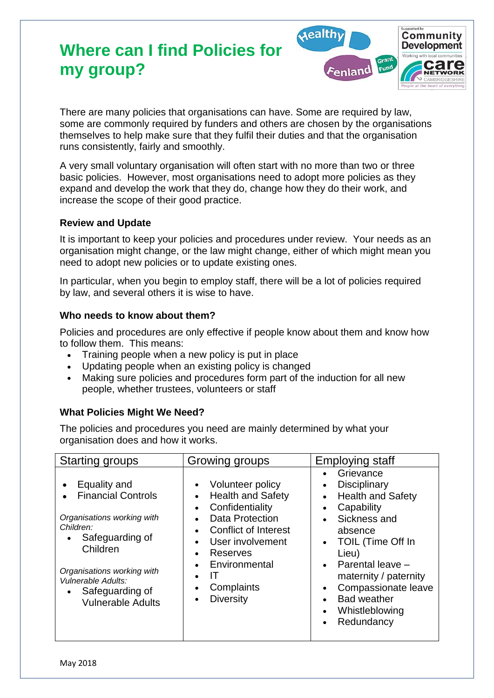# **Where can I find Policies for my group?**



There are many policies that organisations can have. Some are required by law, some are commonly required by funders and others are chosen by the organisations themselves to help make sure that they fulfil their duties and that the organisation runs consistently, fairly and smoothly.

A very small voluntary organisation will often start with no more than two or three basic policies. However, most organisations need to adopt more policies as they expand and develop the work that they do, change how they do their work, and increase the scope of their good practice.

#### **Review and Update**

It is important to keep your policies and procedures under review. Your needs as an organisation might change, or the law might change, either of which might mean you need to adopt new policies or to update existing ones.

In particular, when you begin to employ staff, there will be a lot of policies required by law, and several others it is wise to have.

### **Who needs to know about them?**

Policies and procedures are only effective if people know about them and know how to follow them. This means:

- Training people when a new policy is put in place
- Updating people when an existing policy is changed
- Making sure policies and procedures form part of the induction for all new people, whether trustees, volunteers or staff

### **What Policies Might We Need?**

The policies and procedures you need are mainly determined by what your organisation does and how it works.

| <b>Starting groups</b>                                                                                                                                                                                                        | Growing groups                                                                                                                                                                                                                                                                                                                                            | Employing staff                                                                                                                                                                                                                                                                         |
|-------------------------------------------------------------------------------------------------------------------------------------------------------------------------------------------------------------------------------|-----------------------------------------------------------------------------------------------------------------------------------------------------------------------------------------------------------------------------------------------------------------------------------------------------------------------------------------------------------|-----------------------------------------------------------------------------------------------------------------------------------------------------------------------------------------------------------------------------------------------------------------------------------------|
| Equality and<br><b>Financial Controls</b><br>Organisations working with<br>Children:<br>Safeguarding of<br>Children<br>Organisations working with<br><b>Vulnerable Adults:</b><br>Safeguarding of<br><b>Vulnerable Adults</b> | Volunteer policy<br>$\bullet$<br><b>Health and Safety</b><br>$\bullet$<br>Confidentiality<br>$\bullet$<br>Data Protection<br>$\bullet$<br><b>Conflict of Interest</b><br>$\bullet$<br>User involvement<br>$\bullet$<br>Reserves<br>$\bullet$<br>Environmental<br>$\bullet$<br>IΤ<br>$\bullet$<br>Complaints<br>$\bullet$<br><b>Diversity</b><br>$\bullet$ | Grievance<br><b>Disciplinary</b><br><b>Health and Safety</b><br>Capability<br>Sickness and<br>absence<br>TOIL (Time Off In<br>$\bullet$<br>Lieu)<br>Parental leave -<br>$\bullet$<br>maternity / paternity<br>Compassionate leave<br><b>Bad weather</b><br>Whistleblowing<br>Redundancy |